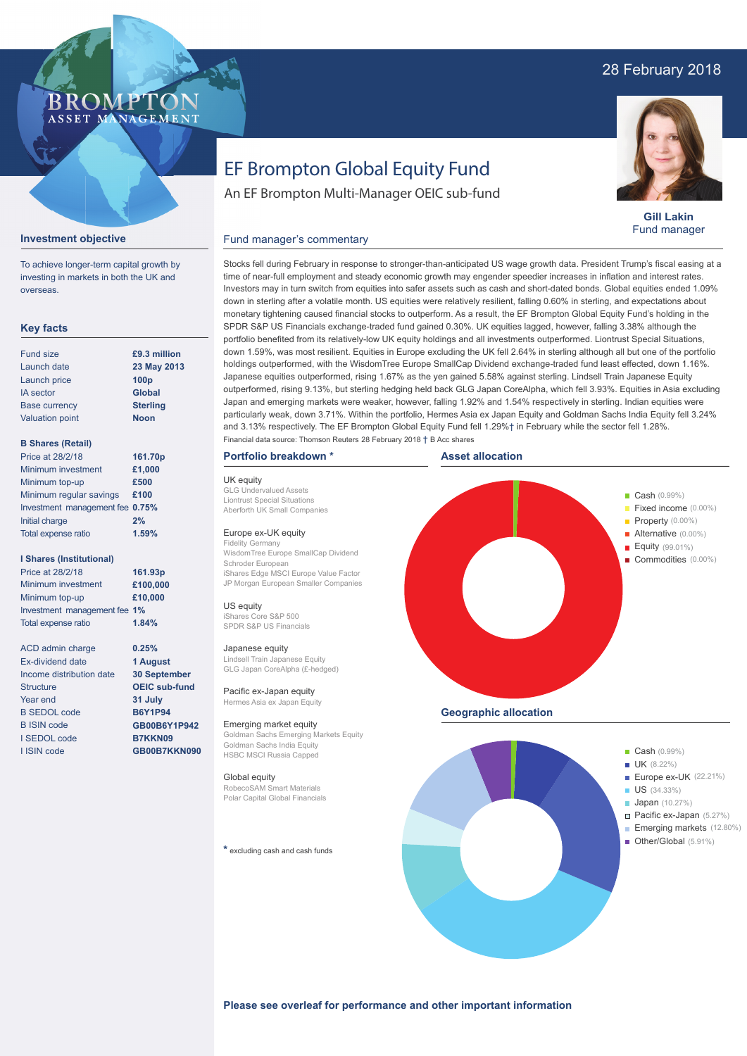## 28 February 2018

### **BROMP** ASSET MANAGEMENT

**Gill Lakin** Fund manager

# EF Brompton Global Equity Fund

An EF Brompton Multi-Manager OEIC sub-fund

#### **Investment objective**

To achieve longer-term capital growth by investing in markets in both the UK and overseas.

#### **Key facts**

| <b>Fund size</b>       | £9.3 million     |
|------------------------|------------------|
| Launch date            | 23 May 2013      |
| Launch price           | 100 <sub>p</sub> |
| <b>IA</b> sector       | <b>Global</b>    |
| <b>Base currency</b>   | <b>Sterling</b>  |
| <b>Valuation point</b> | <b>Noon</b>      |
|                        |                  |

#### **B Shares (Retail)**

| Price at 28/2/18                | 161.70p |
|---------------------------------|---------|
| Minimum investment              | £1,000  |
| Minimum top-up                  | £500    |
| Minimum regular savings         | £100    |
| Investment management fee 0.75% |         |
| Initial charge                  | 2%      |
| Total expense ratio             | 1.59%   |
|                                 |         |

#### **I Shares (Institutional)**

Minimum investment Minimum top-up Investment management fee **1%** Total expense ratio **£100,000 £10,000** Price at 28/2/18 **161.93p 1.84%**

> **0.25% 1 August 30 September OEIC sub-fund 31 July B6Y1P94 GB00B6Y1P942 B7KKN09 GB00B7KKN090**

ACD admin charge Ex-dividend date Income distribution date Structure Year end B SEDOL code B ISIN code I SEDOL code I ISIN code

Stocks fell during February in response to stronger-than-anticipated US wage growth data. President Trump's fiscal easing at a time of near-full employment and steady economic growth may engender speedier increases in inflation and interest rates.

Fund manager's commentary

Investors may in turn switch from equities into safer assets such as cash and short-dated bonds. Global equities ended 1.09% down in sterling after a volatile month. US equities were relatively resilient, falling 0.60% in sterling, and expectations about monetary tightening caused financial stocks to outperform. As a result, the EF Brompton Global Equity Fund's holding in the SPDR S&P US Financials exchange-traded fund gained 0.30%. UK equities lagged, however, falling 3.38% although the portfolio benefited from its relatively-low UK equity holdings and all investments outperformed. Liontrust Special Situations, down 1.59%, was most resilient. Equities in Europe excluding the UK fell 2.64% in sterling although all but one of the portfolio holdings outperformed, with the WisdomTree Europe SmallCap Dividend exchange-traded fund least effected, down 1.16%. Japanese equities outperformed, rising 1.67% as the yen gained 5.58% against sterling. Lindsell Train Japanese Equity outperformed, rising 9.13%, but sterling hedging held back GLG Japan CoreAlpha, which fell 3.93%. Equities in Asia excluding Japan and emerging markets were weaker, however, falling 1.92% and 1.54% respectively in sterling. Indian equities were particularly weak, down 3.71%. Within the portfolio, Hermes Asia ex Japan Equity and Goldman Sachs India Equity fell 3.24% and 3.13% respectively. The EF Brompton Global Equity Fund fell 1.29%† in February while the sector fell 1.28%. Financial data source: Thomson Reuters 28 February 2018 † B Acc shares

#### **Portfolio breakdown \***

UK equity GLG Undervalued Assets Liontrust Special Situations Aberforth UK Small Companies

#### Europe ex-UK equity

Fidelity Germany WisdomTree Europe SmallCap Dividend Schroder European iShares Edge MSCI Europe Value Factor JP Morgan European Smaller Companies

US equity iShares Core S&P 500 SPDR S&P US Financials

#### Japanese equity

Lindsell Train Japanese Equity GLG Japan CoreAlpha (£-hedged)

Pacific ex-Japan equity Hermes Asia ex Japan Equity

Emerging market equity Goldman Sachs Emerging Markets Equity Goldman Sachs India Equity HSBC MSCI Russia Capped

### Global equity

RobecoSAM Smart Materials Polar Capital Global Financials

**\*** excluding cash and cash funds





#### **Please see overleaf for performance and other important information**